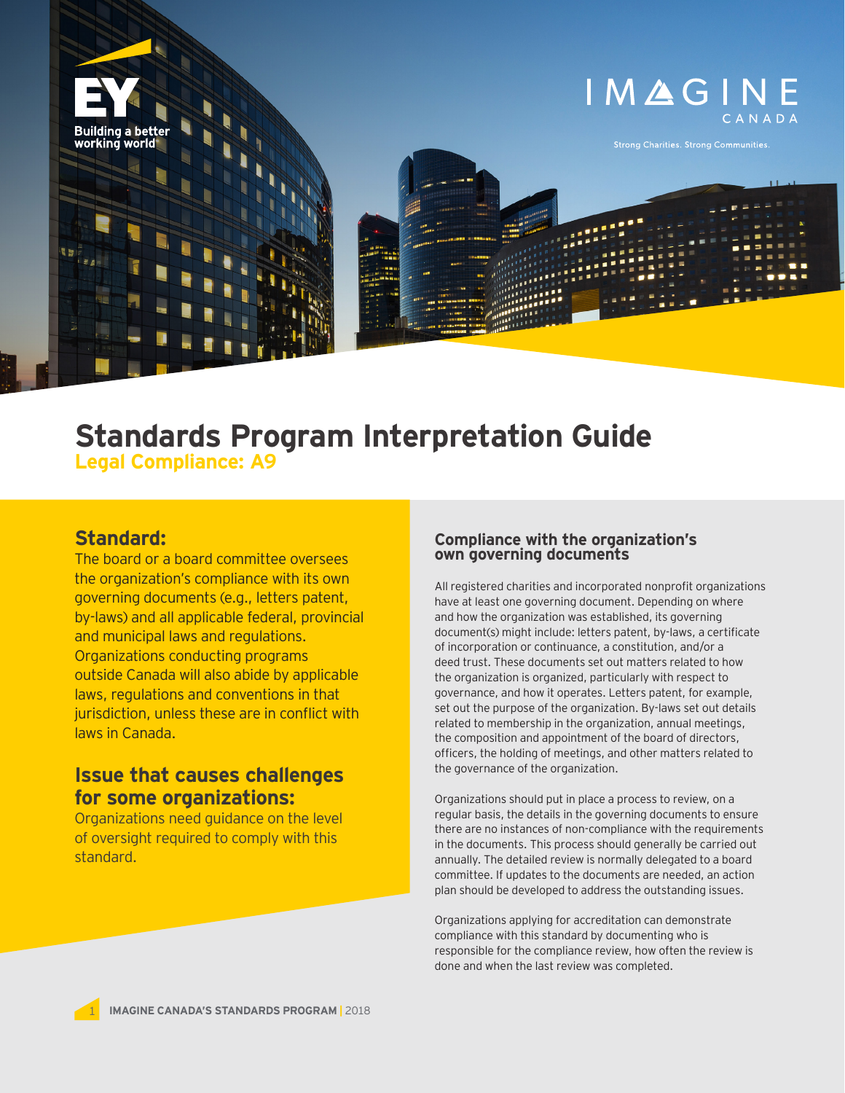

# **Standards Program Interpretation Guide Legal Compliance: A9**

## **Standard:**

The board or a board committee oversees the organization's compliance with its own governing documents (e.g., letters patent, by-laws) and all applicable federal, provincial and municipal laws and regulations. Organizations conducting programs outside Canada will also abide by applicable laws, regulations and conventions in that jurisdiction, unless these are in conflict with laws in Canada.

### **Issue that causes challenges for some organizations:**

Organizations need guidance on the level of oversight required to comply with this standard.

# **Compliance with the organization's own governing documents**

All registered charities and incorporated nonprofit organizations have at least one governing document. Depending on where and how the organization was established, its governing document(s) might include: letters patent, by-laws, a certificate of incorporation or continuance, a constitution, and/or a deed trust. These documents set out matters related to how the organization is organized, particularly with respect to governance, and how it operates. Letters patent, for example, set out the purpose of the organization. By-laws set out details related to membership in the organization, annual meetings, the composition and appointment of the board of directors, officers, the holding of meetings, and other matters related to the governance of the organization.

Organizations should put in place a process to review, on a regular basis, the details in the governing documents to ensure there are no instances of non-compliance with the requirements in the documents. This process should generally be carried out annually. The detailed review is normally delegated to a board committee. If updates to the documents are needed, an action plan should be developed to address the outstanding issues.

Organizations applying for accreditation can demonstrate compliance with this standard by documenting who is responsible for the compliance review, how often the review is done and when the last review was completed.